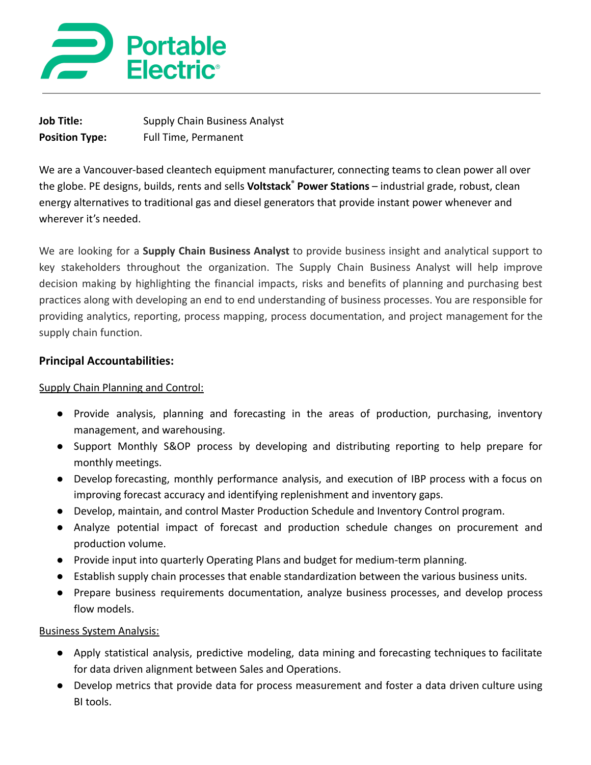

| <b>Job Title:</b>     | <b>Supply Chain Business Analyst</b> |
|-----------------------|--------------------------------------|
| <b>Position Type:</b> | Full Time, Permanent                 |

We are a Vancouver-based cleantech equipment manufacturer, connecting teams to clean power all over the globe. PE designs, builds, rents and sells **Voltstack® Power Stations** – industrial grade, robust, clean energy alternatives to traditional gas and diesel generators that provide instant power whenever and wherever it's needed.

We are looking for a **Supply Chain Business Analyst** to provide business insight and analytical support to key stakeholders throughout the organization. The Supply Chain Business Analyst will help improve decision making by highlighting the financial impacts, risks and benefits of planning and purchasing best practices along with developing an end to end understanding of business processes. You are responsible for providing analytics, reporting, process mapping, process documentation, and project management for the supply chain function.

#### **Principal Accountabilities:**

#### Supply Chain Planning and Control:

- Provide analysis, planning and forecasting in the areas of production, purchasing, inventory management, and warehousing.
- Support Monthly S&OP process by developing and distributing reporting to help prepare for monthly meetings.
- Develop forecasting, monthly performance analysis, and execution of IBP process with a focus on improving forecast accuracy and identifying replenishment and inventory gaps.
- Develop, maintain, and control Master Production Schedule and Inventory Control program.
- Analyze potential impact of forecast and production schedule changes on procurement and production volume.
- Provide input into quarterly Operating Plans and budget for medium-term planning.
- Establish supply chain processes that enable standardization between the various business units.
- Prepare business requirements documentation, analyze business processes, and develop process flow models.

#### Business System Analysis:

- Apply statistical analysis, predictive modeling, data mining and forecasting techniques to facilitate for data driven alignment between Sales and Operations.
- Develop metrics that provide data for process measurement and foster a data driven culture using BI tools.